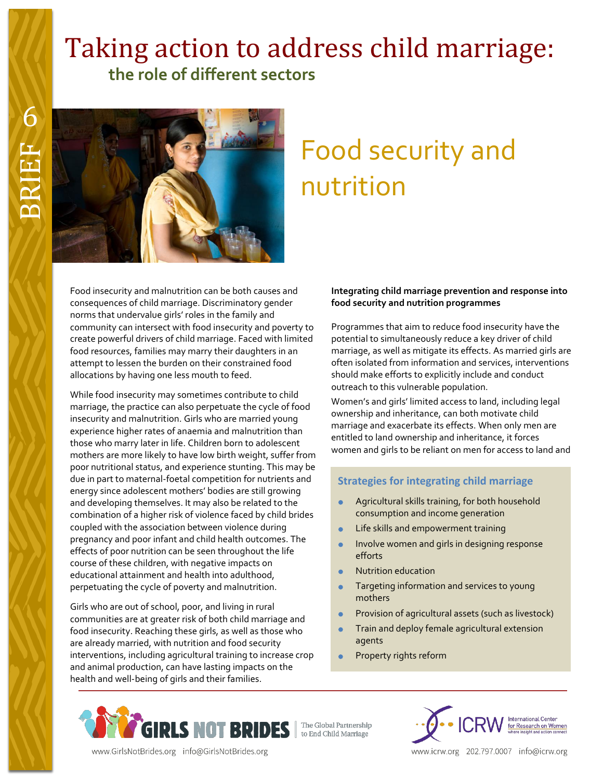# Taking action to address child marriage:  **the role of different sectors**



# Food security and nutrition

Food insecurity and malnutrition can be both causes and consequences of child marriage. Discriminatory gender norms that undervalue girls' roles in the family and community can intersect with food insecurity and poverty to create powerful drivers of child marriage. Faced with limited food resources, families may marry their daughters in an attempt to lessen the burden on their constrained food allocations by having one less mouth to feed.

While food insecurity may sometimes contribute to child marriage, the practice can also perpetuate the cycle of food insecurity and malnutrition. Girls who are married young experience higher rates of anaemia and malnutrition than those who marry later in life. Children born to adolescent mothers are more likely to have low birth weight, suffer from poor nutritional status, and experience stunting. This may be due in part to maternal-foetal competition for nutrients and energy since adolescent mothers' bodies are still growing and developing themselves. It may also be related to the combination of a higher risk of violence faced by child brides coupled with the association between violence during pregnancy and poor infant and child health outcomes. The effects of poor nutrition can be seen throughout the life course of these children, with negative impacts on educational attainment and health into adulthood, perpetuating the cycle of poverty and malnutrition.

Girls who are out of school, poor, and living in rural communities are at greater risk of both child marriage and food insecurity. Reaching these girls, as well as those who are already married, with nutrition and food security interventions, including agricultural training to increase crop and animal production, can have lasting impacts on the health and well-being of girls and their families.

# **Integrating child marriage prevention and response into food security and nutrition programmes**

Programmes that aim to reduce food insecurity have the potential to simultaneously reduce a key driver of child marriage, as well as mitigate its effects. As married girls are often isolated from information and services, interventions should make efforts to explicitly include and conduct outreach to this vulnerable population.

Women's and girls' limited access to land, including legal ownership and inheritance, can both motivate child marriage and exacerbate its effects. When only men are entitled to land ownership and inheritance, it forces women and girls to be reliant on men for access to land and

# **Strategies for integrating child marriage**

- **Agricultural skills training, for both household** consumption and income generation
- Life skills and empowerment training
- Involve women and girls in designing response efforts
- Nutrition education
- Targeting information and services to young mothers
- Provision of agricultural assets (such as livestock)
- Train and deploy female agricultural extension agents
- Property rights reform



www.GirlsNotBrides.org info@GirlsNotBrides.org



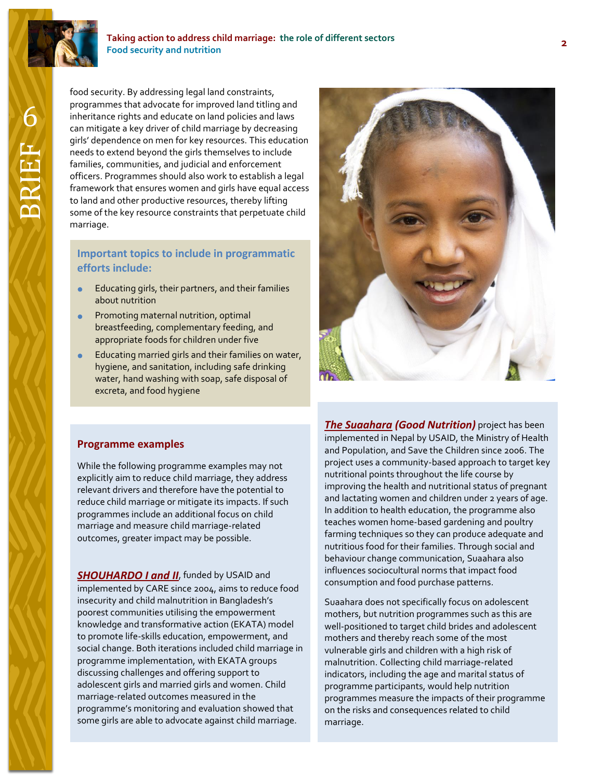

#### **Taking action to address child marriage: the role of different sectors Food security and nutrition**

food security. By addressing legal land constraints, programmes that advocate for improved land titling and inheritance rights and educate on land policies and laws can mitigate a key driver of child marriage by decreasing girls' dependence on men for key resources. This education needs to extend beyond the girls themselves to include families, communities, and judicial and enforcement officers. Programmes should also work to establish a legal framework that ensures women and girls have equal access to land and other productive resources, thereby lifting some of the key resource constraints that perpetuate child marriage.

# **Important topics to include in programmatic efforts include:**

- Educating girls, their partners, and their families about nutrition
- **•** Promoting maternal nutrition, optimal breastfeeding, complementary feeding, and appropriate foods for children under five
- **Educating married girls and their families on water,** hygiene, and sanitation, including safe drinking water, hand washing with soap, safe disposal of excreta, and food hygiene



# **Programme examples**

While the following programme examples may not explicitly aim to reduce child marriage, they address relevant drivers and therefore have the potential to reduce child marriage or mitigate its impacts. If such programmes include an additional focus on child marriage and measure child marriage-related outcomes, greater impact may be possible.

**[SHOUHARDO I and II](http://www.usaid.gov/global-waters/march-2012/empowered-women-bangladesh)**, funded by USAID and implemented by CARE since 2004, aims to reduce food insecurity and child malnutrition in Bangladesh's poorest communities utilising the empowerment knowledge and transformative action (EKATA) model to promote life-skills education, empowerment, and social change. Both iterations included child marriage in programme implementation, with EKATA groups discussing challenges and offering support to adolescent girls and married girls and women. Child marriage-related outcomes measured in the programme's monitoring and evaluation showed that some girls are able to advocate against child marriage.

*[The Suaahara](http://www.usaid.gov/nepal/fact-sheets/suaahara-project-good-nutrition) (Good Nutrition)* project has been implemented in Nepal by USAID, the Ministry of Health and Population, and Save the Children since 2006. The project uses a community-based approach to target key nutritional points throughout the life course by improving the health and nutritional status of pregnant and lactating women and children under 2 years of age. In addition to health education, the programme also teaches women home-based gardening and poultry farming techniques so they can produce adequate and nutritious food for their families. Through social and behaviour change communication, Suaahara also influences sociocultural norms that impact food consumption and food purchase patterns.

Suaahara does not specifically focus on adolescent mothers, but nutrition programmes such as this are well-positioned to target child brides and adolescent mothers and thereby reach some of the most vulnerable girls and children with a high risk of malnutrition. Collecting child marriage-related indicators, including the age and marital status of programme participants, would help nutrition programmes measure the impacts of their programme on the risks and consequences related to child marriage.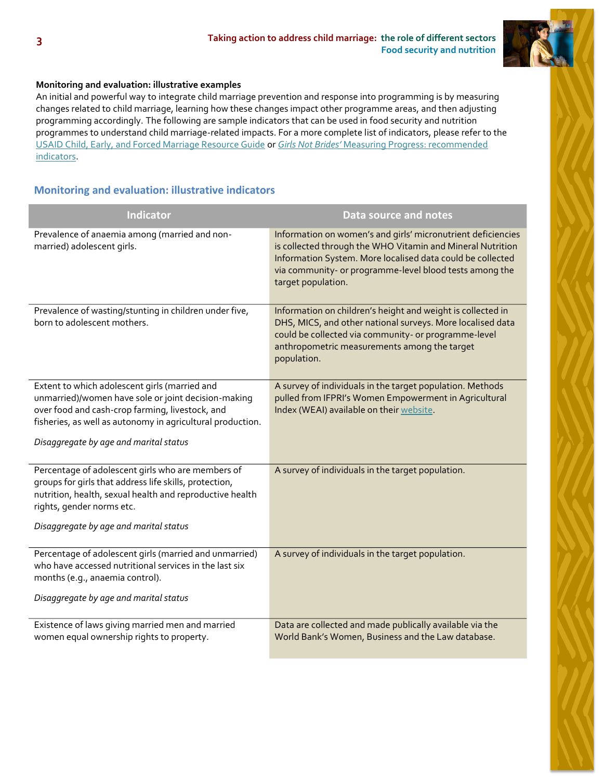

# **Monitoring and evaluation: illustrative examples**

An initial and powerful way to integrate child marriage prevention and response into programming is by measuring changes related to child marriage, learning how these changes impact other programme areas, and then adjusting programming accordingly. The following are sample indicators that can be used in food security and nutrition programmes to understand child marriage-related impacts. For a more complete list of indicators, please refer to the [USAID Child, Early, and Forced Marriage Resource Guide](https://www.usaid.gov/what-we-do/gender-equality-and-womens-empowerment/child-marriage) or *Girls Not Brides'* [Measuring Progress:](http://www.girlsnotbrides.org/these-indicators-will-help-measure-your-progress-towards-ending-child-marriage/) recommended indicators.

# **Monitoring and evaluation: illustrative indicators**

| Indicator                                                                                                                                                                                                                                                       | <b>Data source and notes</b>                                                                                                                                                                                                                                              |
|-----------------------------------------------------------------------------------------------------------------------------------------------------------------------------------------------------------------------------------------------------------------|---------------------------------------------------------------------------------------------------------------------------------------------------------------------------------------------------------------------------------------------------------------------------|
| Prevalence of anaemia among (married and non-<br>married) adolescent girls.                                                                                                                                                                                     | Information on women's and girls' micronutrient deficiencies<br>is collected through the WHO Vitamin and Mineral Nutrition<br>Information System. More localised data could be collected<br>via community- or programme-level blood tests among the<br>target population. |
| Prevalence of wasting/stunting in children under five,<br>born to adolescent mothers.                                                                                                                                                                           | Information on children's height and weight is collected in<br>DHS, MICS, and other national surveys. More localised data<br>could be collected via community- or programme-level<br>anthropometric measurements among the target<br>population.                          |
| Extent to which adolescent girls (married and<br>unmarried)/women have sole or joint decision-making<br>over food and cash-crop farming, livestock, and<br>fisheries, as well as autonomy in agricultural production.<br>Disaggregate by age and marital status | A survey of individuals in the target population. Methods<br>pulled from IFPRI's Women Empowerment in Agricultural<br>Index (WEAI) available on their website.                                                                                                            |
| Percentage of adolescent girls who are members of<br>groups for girls that address life skills, protection,<br>nutrition, health, sexual health and reproductive health<br>rights, gender norms etc.<br>Disaggregate by age and marital status                  | A survey of individuals in the target population.                                                                                                                                                                                                                         |
| Percentage of adolescent girls (married and unmarried)<br>who have accessed nutritional services in the last six<br>months (e.g., anaemia control).<br>Disaggregate by age and marital status                                                                   | A survey of individuals in the target population.                                                                                                                                                                                                                         |
| Existence of laws giving married men and married<br>women equal ownership rights to property.                                                                                                                                                                   | Data are collected and made publically available via the<br>World Bank's Women, Business and the Law database.                                                                                                                                                            |

**3**